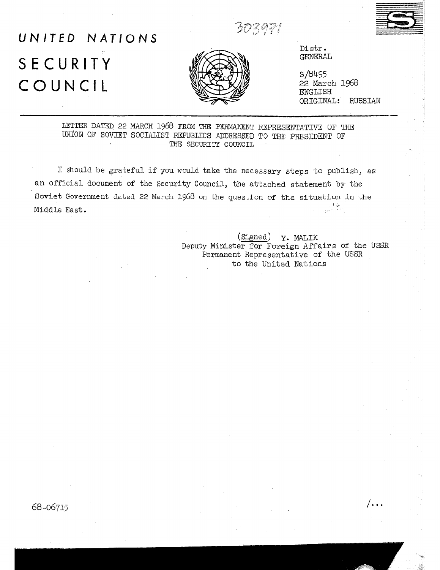. .

*ADBAT!* 

## UNITED NATIONS SECURITY COUNCIL



Distx. **GENERAL** 

s/8495 <sup>22</sup>March 1968 ENGLISH ORIGINAL: RUSSIAN

LETTER DATED 22 MARCH 1968 FROM THE PERMANENT REPRESENTATIVE OF THE UNION OF SOVIET SOCIALIST REPUBLICS ADDRESSED TO THE PRESIDENT OF THE SECURITY COUNCIL

I should be grateful if you would take the necessary steps to publish, as an official document of the Security Council, the attached statement by the Soviet Government dated 22 March 1968 on the question of the situation in the Middle East.

> (Signed) y. MALIK Deputy Minister for Foreign Affairs of the USSR Permanent Representative of the USSR to the United Nations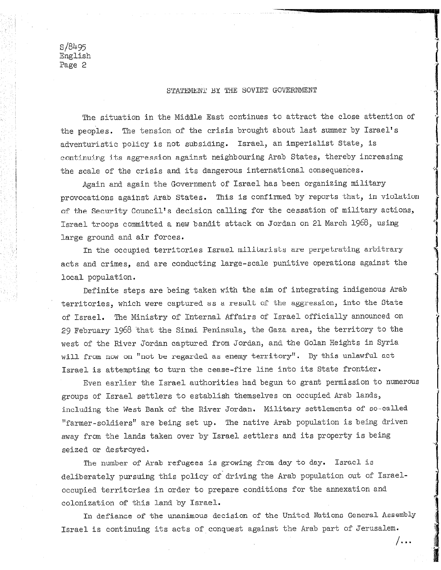s/8495 English Page 2

## STATFMENT BY THE SOVIET GOVERNMENT

The situation in the Middle East continues to attract the close attention of the peoples. The tension of the crisis brought about last summer by Israel's adventuristic policy is not subsiding. Israel, an imperialist State, is continuing its aggression against neighbouring Arab States, thereby increasing the scale of the crisis and its dangerous international consequences.

Again and again the Government of Israel has been organizing military provocations against Arab States. This is confirmed by reports that, in violation of the Security Council's decision calling for the cessation of military actions, Israel troops committed a new bandit attack on Jordan on 21 March 1968, using large ground and air forces.

In the occupied territories Israel militarists are perpetrating arbitrary acts and crimes, and are conducting large-scale punitive operations against the local population,

Definite steps are being taken with the aim of integrating indigenous Arab territories, which were captured as a result of the aggression, into the State of Israel. Ministry of Internal Affairs of Israel officially announced on 29 February 1968 'that the Sinai Peninsula, the Gaza area, the territory to the west of the River Jordan captured from Jordan, and the Golan Heights in Syria will from now on "not be regarded as enemy territory". By this unlawful act Israel is attempting to turn the cease-fire line into its State frontier.

Even earlier the Israel authorities had begun to grant permission to numerous groups of Israel settlers to establish themselves on occupied Arab lands, including the West Bank of the River Jordan. Military settlements of so-called "farmer-soldiers" are being set up. The native Arab population is being driven away from the lands taken over by Israel settlers and its property is being seized or destroyed.

The number of Arab refugees is growing from day to day. Israel is deliberately pursuing this policy of driving the Arab population out of Israeloccupied territories in order to prepare conditions for the annexation and colonization of this land by Israel.

In defiance of the unanimous decision of the United Nations General Assembly Israel is continuing its acts of conquest against the Arab part of Jerusalem.

/ . . .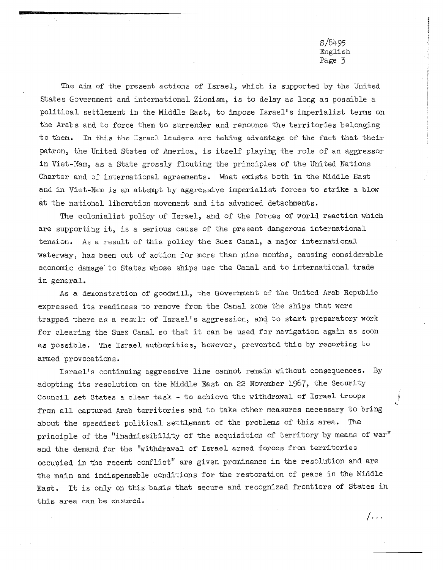s/8495 English Page 3

 $/$  . . .

The aim of the present actions of Israel, which is supported by the United States Government and international Zionism, is to delay as long as possible a political settlement in the Middle East, to impose Israel's imperialist terms on the Arabs and to force them to surrender and renounce the territories belonging to them. In this the Israel leaders are taking advantage of the fact that their patron, the United States of America, is itself playing the role of an aggressor in Viet-Nam, as a State grossly flouting the principles of the United Nations Charter and of international agreements. What exists both in the Middle East and in Viet-Nam is an attempt by aggressive imperialist forces to strike a blow at the national liberation movement and its advanced detachments.

The colonialist policy of Israel, and of the forces of world reaction which are supporting it, is a serious cause of the present dangerous international tension, As a result of this policy the Suez Canal, a major international waterway, has been out of action for more than nine months, causing considerable economic damage'to States whose ships use the Canal and to international trade in general.

As a demonstration of goodwill, the Government of the United Arab Republic expressed its readiness to remove from the Canal zone the ships that were trapped there as a result of Israel's aggression, and to start preparatory work for clearing the Suez Canal so that it can be used for navigation again as soon as possible. The Israel authorities, however, prevented this by resorting to armed provocations.

Israel's continuing aggressive line cannot remain without consequences. By adopting its resolution on the Middle East on 22 November 1967, the Security Council set States a clear task - to achieve the withdrawal of Israel troops from all captured Arab territories and to take other measures necessary to bring about the speediest political settlement of the problems of this area. The principle of the "inadmissibility of the acquisition of territory by means of war" and the demand for the "withdrawal of Israel armed forces from territories occupied in the recent conflict" are given prominence in the resolution and are the main and indispensable conditions for the restoration of peace in the Middle East. It is only on this basis that secure and recognized frontiers of States in this area can be ensured.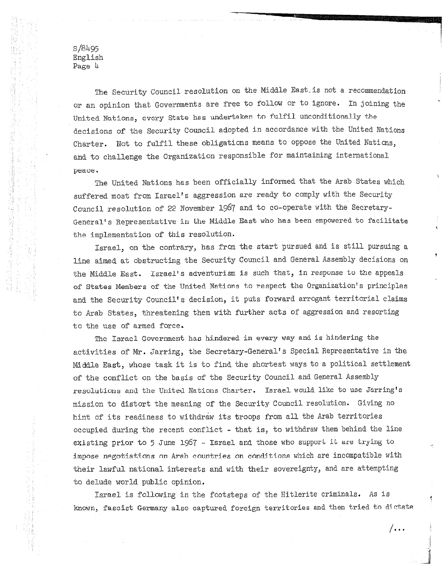s/84.95 English Page 4

me Security Council resolution on the Middle East-is not a recommendation or an opinion that Governments are free to follow or to ignore. In joining the United Nations, every State has undertaken to fulfil unconditionally the decisions of the Security Council adopted in accordance with the United Nations Charter. Not to fulfil these obligations means to oppose the United Nations, and to challenge the Organization responsible for maintaining international peace.

The United Nations has been officially informed that the Arab States which suffered most from Israel's aggression are ready to comply with the Security Council resolution of 22 November 1967 and to co-operate with the Secretary-General's Representative in the Middle East who has been empowered to facilitate the implementation of this resolution.

Israel, on the contrary, has from the start pursued and is still pursuing a line aimed at obstructing the Security Council and General Assembly decisions on the Middle East. Israel's adventurism is such that, in response to the appeals of States Members of the United Nations to respect the Organization's principles and the Security Council's decision, it puts forward arrogant territorial claims to Arab States, threatening them with further acts of aggression and resorting to the use of armed force.

The Israel Government has hindered in every way and is hindering the activities of Mr. Jarring, the Secretary-General's Special Representative in the Middle East, whose task it is to find the shortest ways to a political settlement of the conflict on the basis of the Security Council and General Assembly resolutions and the United Nations Charter. Israel would like to use Jarring's mission to distort the meaning of the Security Council resolution. Giving no hint of its readiness to withdraw its troops from all the Arab territories occupied during the recent conflict - that is, to withdraw them behind the line existing prior to 5 June 1967 - Israel and those who support it are trying to impose negotiations on Arab countries on conditions which are incompatible with their lawful national interests and with their sovereignty, and are attempting to delude world public opinion,

Israel is following in the footsteps of the Hitlerite criminals. As is known, fascist Germany also captured foreign territories and then tried to dictate

 $/$ ...